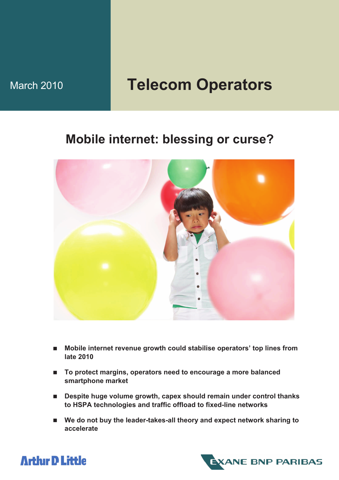# March 2010 **Telecom Operators**

# **Mobile internet: blessing or curse?**



- Mobile internet revenue growth could stabilise operators' top lines from **late 2010**
- To protect margins, operators need to encourage a more balanced **smartphone market**
- Despite huge volume growth, capex should remain under control thanks **to HSPA technologies and traffic offload to fixed-line networks**
- We do not buy the leader-takes-all theory and expect network sharing to **accelerate**



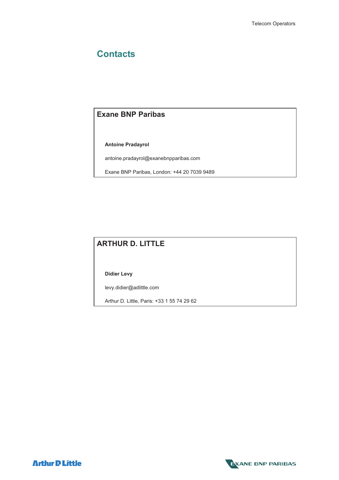# **Contacts**

### **Exane BNP Paribas**

 **Antoine Pradayrol** 

antoine.pradayrol@exanebnpparibas.com

Exane BNP Paribas, London: +44 20 7039 9489

### **ARTHUR D. LITTLE**

 **Didier Levy**

levy.didier@adlittle.com

Arthur D. Little, Paris: +33 1 55 74 29 62



**Arthur D Little**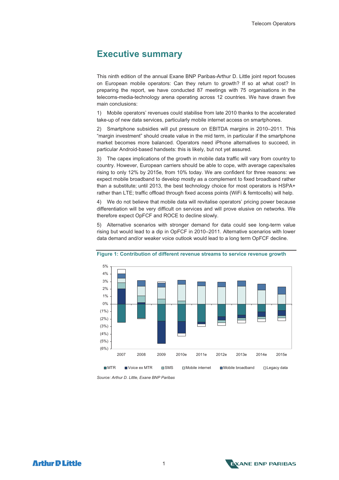### **Executive summary**

This ninth edition of the annual Exane BNP Paribas-Arthur D. Little joint report focuses on European mobile operators: Can they return to growth? If so at what cost? In preparing the report, we have conducted 87 meetings with 75 organisations in the telecoms-media-technology arena operating across 12 countries. We have drawn five main conclusions:

1) Mobile operators' revenues could stabilise from late 2010 thanks to the accelerated take-up of new data services, particularly mobile internet access on smartphones.

2) Smartphone subsidies will put pressure on EBITDA margins in 2010–2011. This "margin investment" should create value in the mid term, in particular if the smartphone market becomes more balanced. Operators need iPhone alternatives to succeed, in particular Android-based handsets: this is likely, but not yet assured.

3) The capex implications of the growth in mobile data traffic will vary from country to country. However, European carriers should be able to cope, with average capex/sales rising to only 12% by 2015e, from 10% today. We are confident for three reasons: we expect mobile broadband to develop mostly as a complement to fixed broadband rather than a substitute; until 2013, the best technology choice for most operators is HSPA+ rather than LTE; traffic offload through fixed access points (WiFi & femtocells) will help.

4) We do not believe that mobile data will revitalise operators' pricing power because differentiation will be very difficult on services and will prove elusive on networks. We therefore expect OpFCF and ROCE to decline slowly.

5) Alternative scenarios with stronger demand for data could see long-term value rising but would lead to a dip in OpFCF in 2010–2011. Alternative scenarios with lower data demand and/or weaker voice outlook would lead to a long term OpFCF decline.



#### **Figure 1: Contribution of different revenue streams to service revenue growth**

*Source: Arthur D. Little, Exane BNP Paribas* 



**Arthir D Little**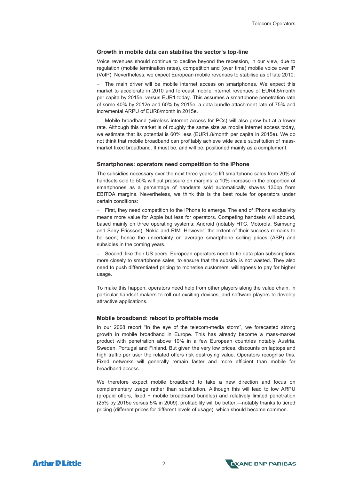#### **Growth in mobile data can stabilise the sector's top-line**

Voice revenues should continue to decline beyond the recession, in our view, due to regulation (mobile termination rates), competition and (over time) mobile voice over IP (VoIP). Nevertheless, we expect European mobile revenues to stabilise as of late 2010:

– The main driver will be mobile internet access on smartphones. We expect this market to accelerate in 2010 and forecast mobile internet revenues of EUR4.5/month per capita by 2015e, versus EUR1 today. This assumes a smartphone penetration rate of some 40% by 2012e and 60% by 2015e, a data bundle attachment rate of 75% and incremental ARPU of EUR8/month in 2015e.

– Mobile broadband (wireless internet access for PCs) will also grow but at a lower rate. Although this market is of roughly the same size as mobile internet access today, we estimate that its potential is 60% less (EUR1.8/month per capita in 2015e). We do not think that mobile broadband can profitably achieve wide scale substitution of massmarket fixed broadband. It must be, and will be, positioned mainly as a complement.

#### **Smartphones: operators need competition to the iPhone**

The subsidies necessary over the next three years to lift smartphone sales from 20% of handsets sold to 50% will put pressure on margins: a 10% increase in the proportion of smartphones as a percentage of handsets sold automatically shaves 130bp from EBITDA margins. Nevertheless, we think this is the best route for operators under certain conditions:

– First, they need competition to the iPhone to emerge. The end of iPhone exclusivity means more value for Apple but less for operators. Competing handsets will abound, based mainly on three operating systems: Android (notably HTC, Motorola, Samsung and Sony Ericsson), Nokia and RIM. However, the extent of their success remains to be seen; hence the uncertainty on average smartphone selling prices (ASP) and subsidies in the coming years.

– Second, like their US peers, European operators need to tie data plan subscriptions more closely to smartphone sales, to ensure that the subsidy is not wasted. They also need to push differentiated pricing to monetise customers' willingness to pay for higher usage.

To make this happen, operators need help from other players along the value chain, in particular handset makers to roll out exciting devices, and software players to develop attractive applications.

#### **Mobile broadband: reboot to profitable mode**

In our 2008 report "In the eye of the telecom-media storm", we forecasted strong growth in mobile broadband in Europe. This has already become a mass-market product with penetration above 10% in a few European countries notably Austria, Sweden, Portugal and Finland. But given the very low prices, discounts on laptops and high traffic per user the related offers risk destroying value. Operators recognise this. Fixed networks will generally remain faster and more efficient than mobile for broadband access.

We therefore expect mobile broadband to take a new direction and focus on complementary usage rather than substitution. Although this will lead to low ARPU (prepaid offers, fixed + mobile broadband bundles) and relatively limited penetration (25% by 2015e versus 5% in 2009), profitability will be better.—notably thanks to tiered pricing (different prices for different levels of usage), which should become common.

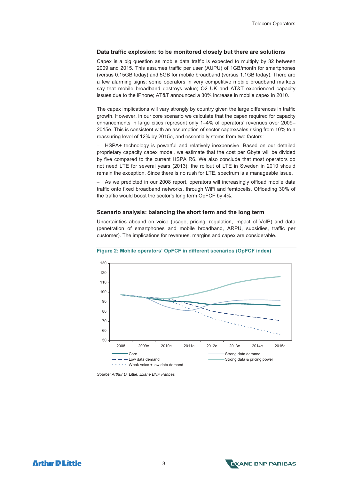#### **Data traffic explosion: to be monitored closely but there are solutions**

Capex is a big question as mobile data traffic is expected to multiply by 32 between 2009 and 2015. This assumes traffic per user (AUPU) of 1GB/month for smartphones (versus 0.15GB today) and 5GB for mobile broadband (versus 1.1GB today). There are a few alarming signs: some operators in very competitive mobile broadband markets say that mobile broadband destroys value; O2 UK and AT&T experienced capacity issues due to the iPhone; AT&T announced a 30% increase in mobile capex in 2010.

The capex implications will vary strongly by country given the large differences in traffic growth. However, in our core scenario we calculate that the capex required for capacity enhancements in large cities represent only 1–4% of operators' revenues over 2009– 2015e. This is consistent with an assumption of sector capex/sales rising from 10% to a reassuring level of 12% by 2015e, and essentially stems from two factors:

– HSPA+ technology is powerful and relatively inexpensive. Based on our detailed proprietary capacity capex model, we estimate that the cost per Gbyte will be divided by five compared to the current HSPA R6. We also conclude that most operators do not need LTE for several years (2013): the rollout of LTE in Sweden in 2010 should remain the exception. Since there is no rush for LTE, spectrum is a manageable issue.

– As we predicted in our 2008 report, operators will increasingly offload mobile data traffic onto fixed broadband networks, through WiFi and femtocells. Offloading 30% of the traffic would boost the sector's long term OpFCF by 4%.

#### **Scenario analysis: balancing the short term and the long term**

Uncertainties abound on voice (usage, pricing, regulation, impact of VoIP) and data (penetration of smartphones and mobile broadband, ARPU, subsidies, traffic per customer). The implications for revenues, margins and capex are considerable.



**Figure 2: Mobile operators' OpFCF in different scenarios (OpFCF index)** 

*Source: Arthur D. Little, Exane BNP Paribas* 



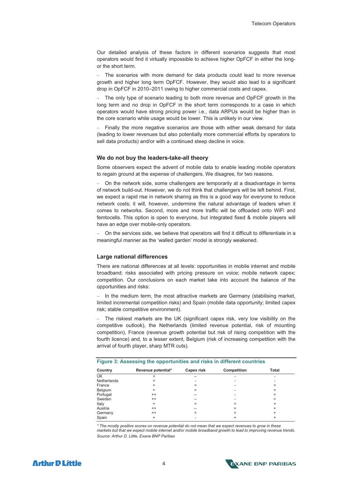Our detailed analysis of these factors in different scenarios suggests that most operators would find it virtually impossible to achieve higher OpFCF in either the longor the short term.

– The scenarios with more demand for data products could lead to more revenue growth and higher long term OpFCF. However, they would also lead to a significant drop in OpFCF in 2010–2011 owing to higher commercial costs and capex.

– The only type of scenario leading to both more revenue and OpFCF growth in the long term and no drop in OpFCF in the short term corresponds to a case in which operators would have strong pricing power i.e., data ARPUs would be higher than in the core scenario while usage would be lower. This is unlikely in our view.

– Finally the more negative scenarios are those with either weak demand for data (leading to lower revenues but also potentially more commercial efforts by operators to sell data products) and/or with a continued steep decline in voice.

#### **We do not buy the leaders-take-all theory**

Some observers expect the advent of mobile data to enable leading mobile operators to regain ground at the expense of challengers. We disagree, for two reasons.

– On the network side, some challengers are temporarily at a disadvantage in terms of network build-out. However, we do not think that challengers will be left behind. First, we expect a rapid rise in network sharing as this is a good way for everyone to reduce network costs; it will, however, undermine the natural advantage of leaders when it comes to networks. Second, more and more traffic will be offloaded onto WiFi and femtocells. This option is open to everyone, but integrated fixed & mobile players will have an edge over mobile-only operators.

– On the services side, we believe that operators will find it difficult to differentiate in a meaningful manner as the 'walled garden' model is strongly weakened.

#### **Large national differences**

There are national differences at all levels: opportunities in mobile internet and mobile broadband; risks associated with pricing pressure on voice; mobile network capex; competition. Our conclusions on each market take into account the balance of the opportunities and risks:

– In the medium term, the most attractive markets are Germany (stabilising market, limited incremental competition risks) and Spain (mobile data opportunity; limited capex risk; stable competitive environment).

The riskiest markets are the UK (significant capex risk, very low visibility on the competitive outlook), the Netherlands (limited revenue potential, risk of mounting competition), France (revenue growth potential but risk of rising competition with the fourth licence) and, to a lesser extent, Belgium (risk of increasing competition with the arrival of fourth player, sharp MTR cuts).

| Country     | Revenue potential* | <b>Capex risk</b> | <b>Competition</b> | Total |  |
|-------------|--------------------|-------------------|--------------------|-------|--|
| UK          |                    | --                |                    |       |  |
| Netherlands |                    |                   |                    |       |  |
| France      |                    |                   |                    |       |  |
| Belgium     | +                  |                   |                    |       |  |
| Portugal    | $^{++}$            |                   |                    |       |  |
| Sweden      | $^{++}$            | --                |                    |       |  |
| Italy       | ÷                  |                   |                    |       |  |
| Austria     | $^{++}$            | --                |                    | +     |  |
| Germany     | $^{++}$            |                   |                    | +     |  |
| Spain       | ÷                  |                   |                    |       |  |

*\* The mostly positive scores on revenue potential do not mean that we expect revenues to grow in these markets but that we expect mobile internet and/or mobile broadband growth to lead to improving revenue trends. Source: Arthur D. Little, Exane BNP Paribas* 

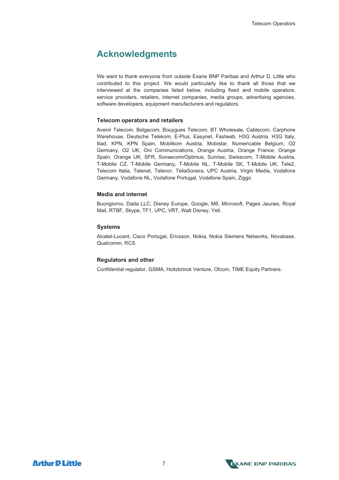### **Acknowledgments**

We want to thank everyone from outside Exane BNP Paribas and Arthur D. Little who contributed to this project. We would particularly like to thank all those that we interviewed at the companies listed below, including fixed and mobile operators, service providers, retailers, internet companies, media groups, advertising agencies, software developers, equipment manufacturers and requilators.

#### **Telecom operators and retailers**

Avenir Telecom, Belgacom, Bouygues Telecom, BT Wholesale, Cablecom, Carphone Warehouse, Deutsche Telekom, E-Plus, Easynet, Fastweb, H3G Austria, H3G Italy, Iliad, KPN, KPN Spain, Mobilkom Austria, Mobistar, Numericable Belgium, O2 Germany, O2 UK, Oni Communications, Orange Austria, Orange France, Orange Spain, Orange UK, SFR, Sonaecom/Optimus, Sunrise, Swisscom, T-Mobile Austria, T-Mobile CZ, T-Mobile Germany, T-Mobile NL, T-Mobile SK, T-Mobile UK, Tele2, Telecom Italia, Telenet, Telenor, TeliaSonera, UPC Austria, Virgin Media, Vodafone Germany, Vodafone NL, Vodafone Portugal, Vodafone Spain, Ziggo.

#### **Media and internet**

Buongiorno, Dada LLC, Disney Europe, Google, M6, Microsoft, Pages Jaunes, Royal Mail, RTBF, Skype, TF1, UPC, VRT, Walt Disney, Yell.

#### **Systems**

Alcatel-Lucent, Cisco Portugal, Ericsson, Nokia, Nokia Siemens Networks, Novabase, Qualcomm, RCS.

#### **Regulators and other**

Confidential regulator, GSMA, Holtzbrinck Venture, Ofcom, TIME Equity Partners.



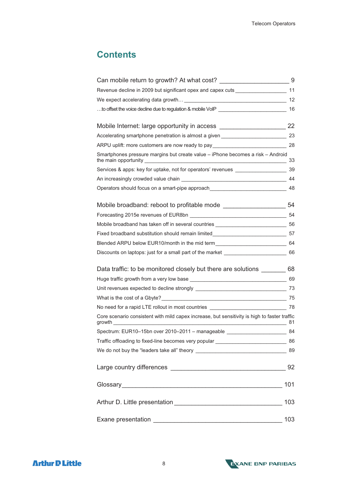# **Contents**

| Can mobile return to growth? At what cost? ________________________________9                 |      |
|----------------------------------------------------------------------------------------------|------|
| Revenue decline in 2009 but significant opex and capex cuts ____________________ 11          |      |
|                                                                                              |      |
|                                                                                              |      |
|                                                                                              |      |
| Accelerating smartphone penetration is almost a given ___________________________ 23         |      |
| ARPU uplift: more customers are now ready to pay ________________________________ 28         |      |
| Smartphones pressure margins but create value - iPhone becomes a risk - Android              | - 33 |
| Services & apps: key for uptake, not for operators' revenues ____________________ 39         |      |
|                                                                                              |      |
| Operators should focus on a smart-pipe approach _________________________________ 48         |      |
| Mobile broadband: reboot to profitable mode ___________________________54                    |      |
|                                                                                              |      |
| Mobile broadband has taken off in several countries ____________________________ 56          |      |
| Fixed broadband substitution should remain limited___________________________________57      |      |
| Blended ARPU below EUR10/month in the mid term__________________________________ 64          |      |
| Discounts on laptops: just for a small part of the market _______________________ 66         |      |
| Data traffic: to be monitored closely but there are solutions ________ 68                    |      |
|                                                                                              |      |
|                                                                                              |      |
|                                                                                              |      |
|                                                                                              |      |
| Core scenario consistent with mild capex increase, but sensitivity is high to faster traffic |      |
| Spectrum: EUR10-15bn over 2010-2011 - manageable _______________________________             | - 84 |
|                                                                                              |      |
|                                                                                              | 89   |
|                                                                                              |      |
|                                                                                              | 101  |
|                                                                                              | 103  |
|                                                                                              | 103  |

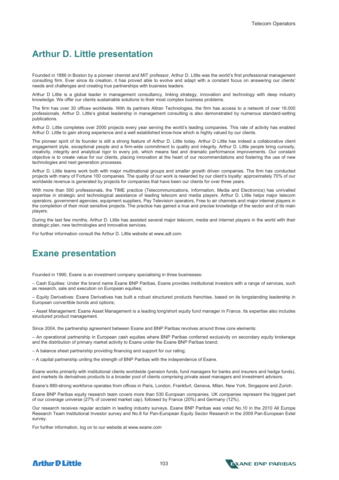### **Arthur D. Little presentation**

Founded in 1886 in Boston by a pioneer chemist and MIT professor, Arthur D. Little was the world's first professional management consulting firm. Ever since its creation, it has proved able to evolve and adapt with a constant focus on answering our clients' needs and challenges and creating true partnerships with business leaders.

Arthur D Little is a global leader in management consultancy, linking strategy, innovation and technology with deep industry knowledge. We offer our clients sustainable solutions to their most complex business problems.

The firm has over 30 offices worldwide. With its partners Altran Technologies, the firm has access to a network of over 16.000 professionals. Arthur D. Little's global leadership in management consulting is also demonstrated by numerous standard-setting publications.

Arthur D. Little completes over 2000 projects every year serving the world's leading companies. This rate of activity has enabled Arthur D. Little to gain strong experience and a well established know-how which is highly valued by our clients.

The pioneer spirit of its founder is still a strong feature of Arthur D. Little today. Arthur D Little has indeed a collaborative client engagement style, exceptional people and a firm-wide commitment to quality and integrity. Arthur D. Little people bring curiosity, creativity, integrity and analytical rigor to every job, which means fast and dramatic performance improvements. Our constant objective is to create value for our clients, placing innovation at the heart of our recommendations and fostering the use of new technologies and next generation processes.

Arthur D. Little teams work both with major multinational groups and smaller growth driven companies. The firm has conducted projects with many of Fortune 100 companies. The quality of our work is rewarded by our client's loyalty: approximately 70% of our worldwide revenue is generated by projects for companies that have been our clients for over three years.

With more than 500 professionals, the TIME practice (Telecommunications, Information, Media and Electronics) has unrivalled expertise in strategic and technological assistance of leading telecom and media players. Arthur D. Little helps major telecom operators, government agencies, equipment suppliers, Pay Television operators, Free to air channels and major internet players in the completion of their most sensitive projects. The practice has gained a true and precise knowledge of the sector and of its main players.

During the last few months, Arthur D. Little has assisted several major telecom, media and internet players in the world with their strategic plan, new technologies and innovative services.

For further information consult the Arthur D. Little website at www.adl.com.

### **Exane presentation**

Founded in 1990, Exane is an investment company specialising in three businesses:

– Cash Equities: Under the brand name Exane BNP Paribas, Exane provides institutional investors with a range of services, such as research, sale and execution on European equities;

– Equity Derivatives: Exane Derivatives has built a robust structured products franchise, based on its longstanding leadership in European convertible bonds and options;

– Asset Management: Exane Asset Management is a leading long/short equity fund manager in France. Its expertise also includes structured product management.

Since 2004, the partnership agreement between Exane and BNP Paribas revolves around three core elements:

– An operational partnership in European cash equities where BNP Paribas conferred exclusivity on secondary equity brokerage and the distribution of primary market activity to Exane under the Exane BNP Paribas brand;

– A balance sheet partnership providing financing and support for our rating;

– A capital partnership uniting the strength of BNP Paribas with the independence of Exane.

Exane works primarily with institutional clients worldwide (pension funds, fund managers for banks and insurers and hedge funds), and markets its derivatives products to a broader pool of clients comprising private asset managers and investment advisors.

Exane's 880-strong workforce operates from offices in Paris, London, Frankfurt, Geneva, Milan, New York, Singapore and Zurich.

Exane BNP Paribas equity research team covers more than 530 European companies. UK companies represent the biggest part of our coverage universe (27% of covered market cap), followed by France (20%) and Germany (12%).

Our research receives regular acclaim in leading industry surveys. Exane BNP Paribas was voted No.10 in the 2010 All Europe Research Team Institutional Investor survey and No.8 for Pan-European Equity Sector Research in the 2009 Pan-European Extel survey.

For further information, log on to our website at www.exane.com



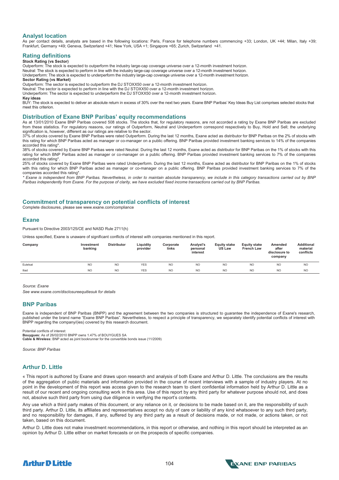#### **Analyst location**

As per contact details, analysts are based in the following locations: Paris, France for telephone numbers commencing +33; London, UK +44; Milan, Italy +39; Frankfurt, Germany +49; Geneva, Switzerland +41; New York, USA +1; Singapore +65; Zurich, Switzerland +41.

#### **Rating definitions**

#### **Stock Rating (vs Sector)**

Outperform: The stock is expected to outperform the industry large-cap coverage universe over a 12-month investment horizon. Neutral: The stock is expected to perform in line with the industry large-cap coverage universe over a 12-month investment horizon. Underperform: The stock is expected to underperform the industry large-cap coverage universe over a 12-month investment horizon. **Sector Rating (vs Market)** 

Outperform: The sector is expected to outperform the DJ STOXX50 over a 12-month investment horizon.

Neutral: The sector is expected to perform in line with the DJ STOXX50 over a 12-month investment horizon.

Underperform: The sector is expected to underperform the DJ STOXX50 over a 12-month investment horizon.

#### **Key ideas**

BUY: The stock is expected to deliver an absolute return in excess of 30% over the next two years. Exane BNP Paribas' Key Ideas Buy List comprises selected stocks that meet this criterion.

#### **Distribution of Exane BNP Paribas' equity recommendations**

As at 13/01/2010 Exane BNP Paribas covered 508 stocks. The stocks that, for regulatory reasons, are not accorded a rating by Exane BNP Paribas are excluded from these statistics. For regulatory reasons, our ratings of Outperform, Neutral and Underperform correspond respectively to Buy, Hold and Sell; the underlying signification is, however, different as our ratings are relative to the sector.

37% of stocks covered by Exane BNP Paribas were rated Outperform. During the last 12 months, Exane acted as distributor for BNP Paribas on the 2% of stocks with this rating for which BNP Paribas acted as manager or co-manager on a public offering. BNP Paribas provided investment banking services to 14% of the companies accorded this rating\*.

38% of stocks covered by Exane BNP Paribas were rated Neutral. During the last 12 months, Exane acted as distributor for BNP Paribas on the 1% of stocks with this rating for which BNP Paribas acted as manager or co-manager on a public offering. BNP Paribas provided investment banking services to 7% of the companies accorded this rating\*.

25% of stocks covered by Exane BNP Paribas were rated Underperform. During the last 12 months, Exane acted as distributor for BNP Paribas on the 1% of stocks with this rating for which BNP Paribas acted as manager or co-manager on a public offering. BNP Paribas provided investment banking services to 7% of the companies accorded this rating\*.

*\* Exane is independent from BNP Paribas. Nevertheless, in order to maintain absolute transparency, we include in this category transactions carried out by BNP Paribas independently from Exane. For the purpose of clarity, we have excluded fixed income transactions carried out by BNP Paribas.* 

#### **Commitment of transparency on potential conflicts of interest**

Complete disclosures, please see www.exane.com/compliance

#### **Exane**

Pursuant to Directive 2003/125/CE and NASD Rule 2711(h)

Unless specified. Exane is unaware of significant conflicts of interest with companies mentioned in this report.

| Company  | Investment<br>banking | <b>Distributor</b> | Liquidity<br>provider | Corporate<br>links | Analyst's<br>personal<br>interest | <b>Equity stake</b><br><b>US Law</b> | <b>Equity stake</b><br><b>French Law</b> | Amended<br>after<br>disclosure to<br>company | <b>Additional</b><br>material<br>conflicts |
|----------|-----------------------|--------------------|-----------------------|--------------------|-----------------------------------|--------------------------------------|------------------------------------------|----------------------------------------------|--------------------------------------------|
| Eutelsat | <b>NO</b>             | <b>NO</b>          | <b>YES</b>            | <b>NO</b>          | <b>NO</b>                         | <b>NO</b>                            | <b>NO</b>                                | <b>NC</b>                                    | <b>NO</b>                                  |
| lliad    | N <sub>O</sub>        | <b>NO</b>          | <b>YES</b>            | N <sub>O</sub>     | N <sub>O</sub>                    | N <sub>O</sub>                       | <b>NO</b>                                | <b>NO</b>                                    | <b>NO</b>                                  |

*Source: Exane* 

*See www.exane.com/disclosureequitiesuk for details* 

#### **BNP Paribas**

Exane is independent of BNP Paribas (BNPP) and the agreement between the two companies is structured to guarantee the independence of Exane's research, published under the brand name "Exane BNP Paribas". Nevertheless, to respect a principle of transparency, we separately identify potential conflicts of interest with BNPP regarding the company/(ies) covered by this research document.

Potential conflicts of interest:

**Bouygues:** As of 26/02/2010 BNPP owns 1.47% of BOUYGUES SA **Cable & Wireless:** BNP acted as joint bookrunner for the convertible bonds issue (11/2009)

*Source: BNP Paribas* 

#### **Arthur D. Little**

« This report is authored by Exane and draws upon research and analysis of both Exane and Arthur D. Little. The conclusions are the results of the aggregation of public materials and information provided in the course of recent interviews with a sample of industry players. At no point in the development of this report was access given to the research team to client confidential information held by Arthur D. Little as a result of our recent and ongoing consulting work in this area. Use of this report by any third party for whatever purpose should not, and does not, absolve such third party from using due diligence in verifying the report's contents.

Any use which a third party makes of this document, or any reliance on it, or decisions to be made based on it, are the responsibility of such third party. Arthur D. Little, its affiliates and representatives accept no duty of care or liability of any kind whatsoever to any such third party, and no responsibility for damages, if any, suffered by any third party as a result of decisions made, or not made, or actions taken, or not taken, based on this document.

Arthur D. Little does not make investment recommendations, in this report or otherwise, and nothing in this report should be interpreted as an opinion by Arthur D. Little either on market forecasts or on the prospects of specific companies.



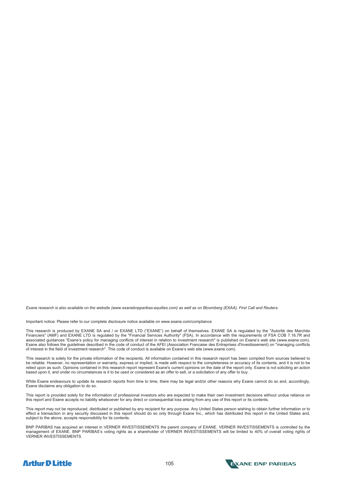*Exane research is also available on the website (www.exanebnpparibas-equities.com) as well as on Bloomberg (EXAA), First Call and Reuters.* 

Important notice: Please refer to our complete disclosure notice available on www.exane.com/compliance

This research is produced by EXANE SA and / or EXANE LTD ("EXANE") on behalf of themselves. EXANE SA is regulated by the "Autorité des Marchés Financiers" (AMF) and EXANE LTD is regulated by the "Financial Services Authority" (FSA). In accordance with the requirements of FSA COB 7.16.7R and associated guidances "Exane's policy for managing conflicts of interest in relation to investment research" is published on Exane's web site (www.exane.com). Exane also follows the guidelines described in the code of conduct of the AFEI (Association Francaise des Entreprises d'Investissement) on "managing conflicts of interest in the field of investment research". This code of conduct is available on Exane's web site (www.exane.com).

This research is solely for the private information of the recipients. All information contained in this research report has been compiled from sources believed to be reliable. However, no representation or warranty, express or implied, is made with respect to the completeness or accuracy of its contents, and it is not to be relied upon as such. Opinions contained in this research report represent Exane's current opinions on the date of the report only. Exane is not soliciting an action based upon it, and under no circumstances is it to be used or considered as an offer to sell, or a solicitation of any offer to buy.

While Exane endeavours to update its research reports from time to time, there may be legal and/or other reasons why Exane cannot do so and, accordingly, Exane disclaims any obligation to do so.

This report is provided solely for the information of professional investors who are expected to make their own investment decisions without undue reliance on this report and Exane accepts no liability whatsoever for any direct or consequential loss arising from any use of this report or its contents.

This report may not be reproduced, distributed or published by any recipient for any purpose. Any United States person wishing to obtain further information or to effect a transaction in any security discussed in this report should do so only through Exane Inc., which has distributed this report in the United States and, subject to the above, accepts responsibility for its contents.

BNP PARIBAS has acquired an interest in VERNER INVESTISSEMENTS the parent company of EXANE. VERNER INVESTISSEMENTS is controlled by the management of EXANE. BNP PARIBAS's voting rights as a shareholder of VERNER INVESTISSEMENTS will be limited to 40% of overall voting rights of VERNER INVESTISSEMENTS.